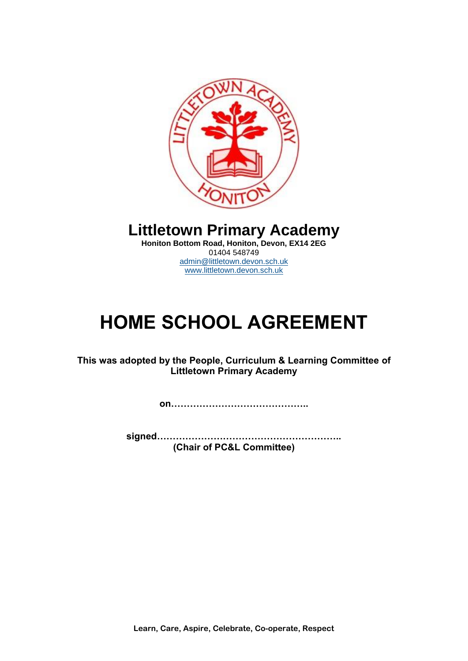

**Littletown Primary Academy** 

**Honiton Bottom Road, Honiton, Devon, EX14 2EG** 01404 548749 [admin@littletown.devon.sch.uk](mailto:admin@littletown.devon.sch.uk) [www.littletown.devon.sch.uk](http://www.littletown.devon.sch.uk/)

# **HOME SCHOOL AGREEMENT**

**This was adopted by the People, Curriculum & Learning Committee of Littletown Primary Academy**

**on……………………………………..**

**signed………………………………………………….. (Chair of PC&L Committee)**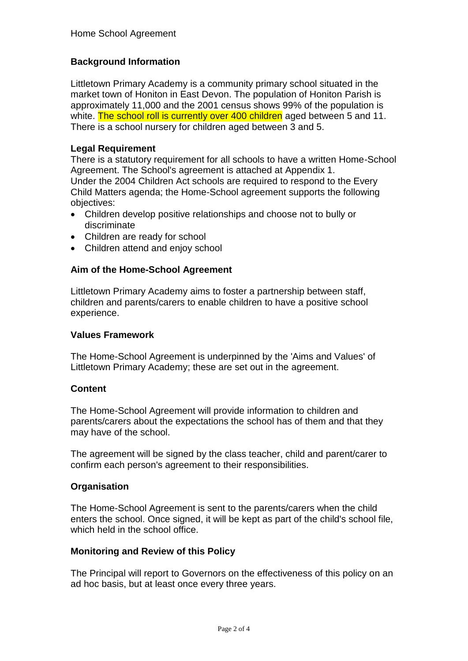# **Background Information**

Littletown Primary Academy is a community primary school situated in the market town of Honiton in East Devon. The population of Honiton Parish is approximately 11,000 and the 2001 census shows 99% of the population is white. The school roll is currently over 400 children aged between 5 and 11. There is a school nursery for children aged between 3 and 5.

# **Legal Requirement**

There is a statutory requirement for all schools to have a written Home-School Agreement. The School's agreement is attached at Appendix 1. Under the 2004 Children Act schools are required to respond to the Every Child Matters agenda; the Home-School agreement supports the following objectives:

- Children develop positive relationships and choose not to bully or discriminate
- Children are ready for school
- Children attend and enjoy school

# **Aim of the Home-School Agreement**

Littletown Primary Academy aims to foster a partnership between staff, children and parents/carers to enable children to have a positive school experience.

### **Values Framework**

The Home-School Agreement is underpinned by the 'Aims and Values' of Littletown Primary Academy; these are set out in the agreement.

#### **Content**

The Home-School Agreement will provide information to children and parents/carers about the expectations the school has of them and that they may have of the school.

The agreement will be signed by the class teacher, child and parent/carer to confirm each person's agreement to their responsibilities.

#### **Organisation**

The Home-School Agreement is sent to the parents/carers when the child enters the school. Once signed, it will be kept as part of the child's school file, which held in the school office.

#### **Monitoring and Review of this Policy**

The Principal will report to Governors on the effectiveness of this policy on an ad hoc basis, but at least once every three years.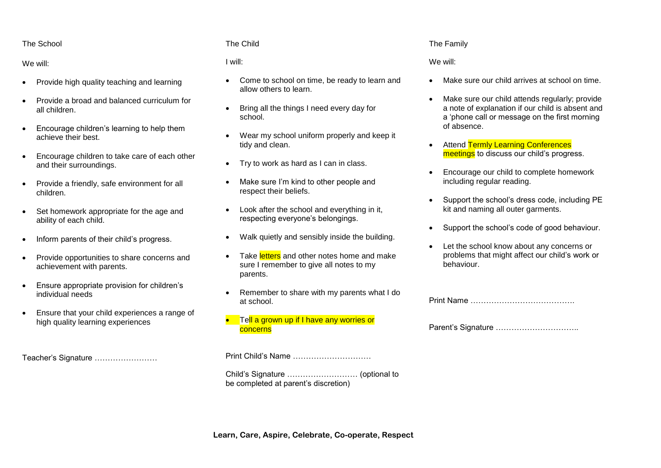#### The School

#### We will:

- Provide high quality teaching and learning
- Provide a broad and balanced curriculum for all children.
- Encourage children's learning to help them achieve their best.
- Encourage children to take care of each other and their surroundings.
- Provide a friendly, safe environment for all children.
- Set homework appropriate for the age and ability of each child.
- Inform parents of their child's progress.
- Provide opportunities to share concerns and achievement with parents.
- Ensure appropriate provision for children's individual needs
- Ensure that your child experiences a range of high quality learning experiences

Teacher's Signature ……………………

#### The Child

#### I will:

- Come to school on time, be ready to learn and allow others to learn.
- Bring all the things I need every day for school.
- Wear my school uniform properly and keep it tidy and clean.
- Try to work as hard as I can in class.
- Make sure I'm kind to other people and respect their beliefs.
- Look after the school and everything in it, respecting everyone's belongings.
- Walk quietly and sensibly inside the building.
- Take letters and other notes home and make sure I remember to give all notes to my parents.
- Remember to share with my parents what I do at school.
- Tell a grown up if I have any worries or concerns

Print Child's Name …………………………

Child's Signature ……………………… (optional to be completed at parent's discretion)

#### The Family

#### We will:

- Make sure our child arrives at school on time.
- Make sure our child attends regularly; provide a note of explanation if our child is absent and a 'phone call or message on the first morning of absence.
- Attend Termly Learning Conferences meetings to discuss our child's progress.
- Encourage our child to complete homework including regular reading.
- Support the school's dress code, including PE kit and naming all outer garments.
- Support the school's code of good behaviour.
- Let the school know about any concerns or problems that might affect our child's work or behaviour.

Parent's Signature …………………………..